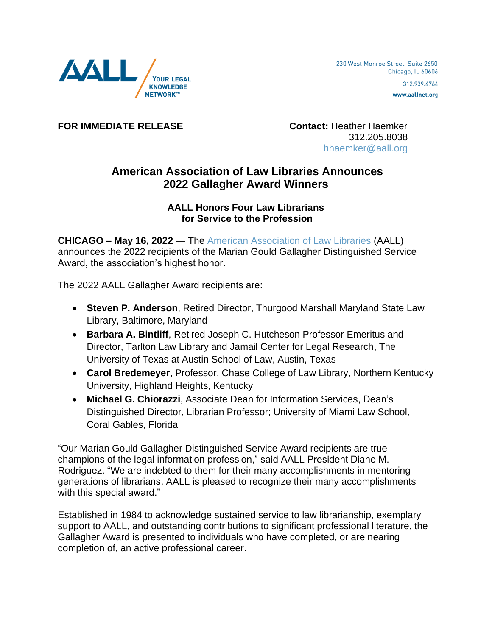

www.aallnet.org

**FOR IMMEDIATE RELEASE Contact:** Heather Haemker

 312.205.8038 [hhaemker@aall.org](mailto:hhaemker@aall.org)

## **American Association of Law Libraries Announces 2022 Gallagher Award Winners**

## **AALL Honors Four Law Librarians for Service to the Profession**

**CHICAGO – May 16, 2022** — The [American Association of Law Libraries](https://www.aallnet.org/) (AALL) announces the 2022 recipients of the Marian Gould Gallagher Distinguished Service Award, the association's highest honor.

The 2022 AALL Gallagher Award recipients are:

- **Steven P. Anderson**, Retired Director, Thurgood Marshall Maryland State Law Library, Baltimore, Maryland
- **Barbara A. Bintliff**, Retired Joseph C. Hutcheson Professor Emeritus and Director, Tarlton Law Library and Jamail Center for Legal Research, The University of Texas at Austin School of Law, Austin, Texas
- **Carol Bredemeyer**, Professor, Chase College of Law Library, Northern Kentucky University, Highland Heights, Kentucky
- **Michael G. Chiorazzi**, Associate Dean for Information Services, Dean's Distinguished Director, Librarian Professor; University of Miami Law School, Coral Gables, Florida

"Our Marian Gould Gallagher Distinguished Service Award recipients are true champions of the legal information profession," said AALL President Diane M. Rodriguez. "We are indebted to them for their many accomplishments in mentoring generations of librarians. AALL is pleased to recognize their many accomplishments with this special award."

Established in 1984 to acknowledge sustained service to law librarianship, exemplary support to AALL, and outstanding contributions to significant professional literature, the Gallagher Award is presented to individuals who have completed, or are nearing completion of, an active professional career.